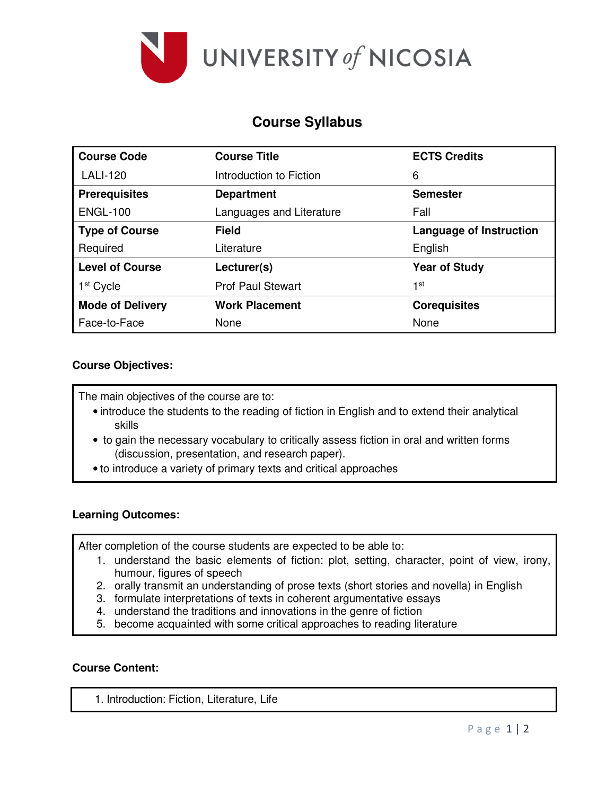

# **Course Syllabus**

| <b>Course Code</b>      | <b>Course Title</b>      | <b>ECTS Credits</b>            |
|-------------------------|--------------------------|--------------------------------|
| <b>LALI-120</b>         | Introduction to Fiction  | 6                              |
| <b>Prerequisites</b>    | <b>Department</b>        | <b>Semester</b>                |
| <b>ENGL-100</b>         | Languages and Literature | Fall                           |
| <b>Type of Course</b>   | <b>Field</b>             | <b>Language of Instruction</b> |
| Required                | Literature               | English                        |
| <b>Level of Course</b>  | Lecturer(s)              | <b>Year of Study</b>           |
| 1 <sup>st</sup> Cycle   | <b>Prof Paul Stewart</b> | 1st                            |
| <b>Mode of Delivery</b> | <b>Work Placement</b>    | <b>Corequisites</b>            |
| Face-to-Face            | None                     | None                           |

## **Course Objectives:**

The main objectives of the course are to:

- introduce the students to the reading of fiction in English and to extend their analytical skills
- to gain the necessary vocabulary to critically assess fiction in oral and written forms (discussion, presentation, and research paper).
- to introduce a variety of primary texts and critical approaches

## **Learning Outcomes:**

After completion of the course students are expected to be able to:

- 1. understand the basic elements of fiction: plot, setting, character, point of view, irony, humour, figures of speech
- 2. orally transmit an understanding of prose texts (short stories and novella) in English
- 3. formulate interpretations of texts in coherent argumentative essays
- 4. understand the traditions and innovations in the genre of fiction
- 5. become acquainted with some critical approaches to reading literature

#### **Course Content:**

1. Introduction: Fiction, Literature, Life